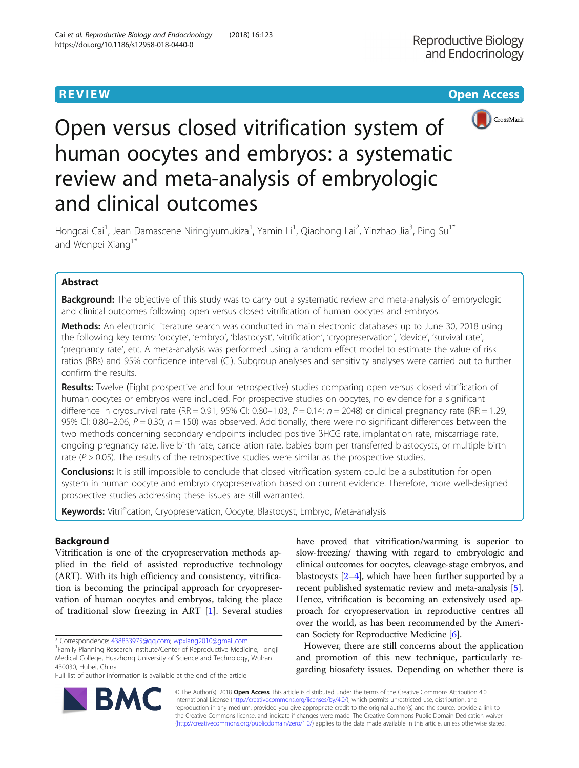**REVIEW CONTROL** CONTROL CONTROL CONTROL CONTROL CONTROL CONTROL CONTROL CONTROL CONTROL CONTROL CONTROL CONTROL



# Open versus closed vitrification system of human oocytes and embryos: a systematic review and meta-analysis of embryologic and clinical outcomes

Hongcai Cai<sup>1</sup>, Jean Damascene Niringiyumukiza<sup>1</sup>, Yamin Li<sup>1</sup>, Qiaohong Lai<sup>2</sup>, Yinzhao Jia<sup>3</sup>, Ping Su<sup>1\*</sup> and Wenpei Xiang<sup>1\*</sup>

### Abstract

**Background:** The objective of this study was to carry out a systematic review and meta-analysis of embryologic and clinical outcomes following open versus closed vitrification of human oocytes and embryos.

Methods: An electronic literature search was conducted in main electronic databases up to June 30, 2018 using the following key terms: 'oocyte', 'embryo', 'blastocyst', 'vitrification', 'cryopreservation', 'device', 'survival rate', 'pregnancy rate', etc. A meta-analysis was performed using a random effect model to estimate the value of risk ratios (RRs) and 95% confidence interval (CI). Subgroup analyses and sensitivity analyses were carried out to further confirm the results.

Results: Twelve (Eight prospective and four retrospective) studies comparing open versus closed vitrification of human oocytes or embryos were included. For prospective studies on oocytes, no evidence for a significant difference in cryosurvival rate (RR = 0.91, 95% CI: 0.80–1.03,  $P = 0.14$ ;  $n = 2048$ ) or clinical pregnancy rate (RR = 1.29, 95% CI: 0.80–2.06,  $P = 0.30$ ;  $n = 150$ ) was observed. Additionally, there were no significant differences between the two methods concerning secondary endpoints included positive βHCG rate, implantation rate, miscarriage rate, ongoing pregnancy rate, live birth rate, cancellation rate, babies born per transferred blastocysts, or multiple birth rate ( $P > 0.05$ ). The results of the retrospective studies were similar as the prospective studies.

**Conclusions:** It is still impossible to conclude that closed vitrification system could be a substitution for open system in human oocyte and embryo cryopreservation based on current evidence. Therefore, more well-designed prospective studies addressing these issues are still warranted.

Keywords: Vitrification, Cryopreservation, Oocyte, Blastocyst, Embryo, Meta-analysis

#### Background

Vitrification is one of the cryopreservation methods applied in the field of assisted reproductive technology (ART). With its high efficiency and consistency, vitrification is becoming the principal approach for cryopreservation of human oocytes and embryos, taking the place of traditional slow freezing in ART [\[1](#page-9-0)]. Several studies

\* Correspondence: [438833975@qq.com](mailto:438833975@qq.com); [wpxiang2010@gmail.com](mailto:wpxiang2010@gmail.com) <sup>1</sup>

Full list of author information is available at the end of the article

have proved that vitrification/warming is superior to slow-freezing/ thawing with regard to embryologic and clinical outcomes for oocytes, cleavage-stage embryos, and blastocysts [[2](#page-9-0)–[4](#page-9-0)], which have been further supported by a recent published systematic review and meta-analysis [[5](#page-9-0)]. Hence, vitrification is becoming an extensively used approach for cryopreservation in reproductive centres all over the world, as has been recommended by the American Society for Reproductive Medicine [\[6\]](#page-9-0).

However, there are still concerns about the application and promotion of this new technique, particularly regarding biosafety issues. Depending on whether there is



© The Author(s). 2018 Open Access This article is distributed under the terms of the Creative Commons Attribution 4.0 International License [\(http://creativecommons.org/licenses/by/4.0/](http://creativecommons.org/licenses/by/4.0/)), which permits unrestricted use, distribution, and reproduction in any medium, provided you give appropriate credit to the original author(s) and the source, provide a link to the Creative Commons license, and indicate if changes were made. The Creative Commons Public Domain Dedication waiver [\(http://creativecommons.org/publicdomain/zero/1.0/](http://creativecommons.org/publicdomain/zero/1.0/)) applies to the data made available in this article, unless otherwise stated.

<sup>&</sup>lt;sup>1</sup>Family Planning Research Institute/Center of Reproductive Medicine, Tongji Medical College, Huazhong University of Science and Technology, Wuhan 430030, Hubei, China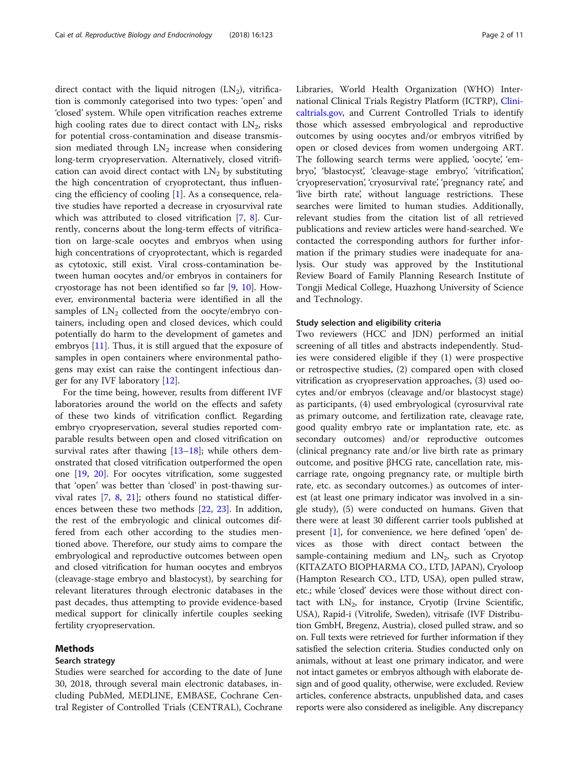direct contact with the liquid nitrogen  $(LN_2)$ , vitrification is commonly categorised into two types: 'open' and 'closed' system. While open vitrification reaches extreme high cooling rates due to direct contact with  $LN_2$ , risks for potential cross-contamination and disease transmission mediated through  $LN<sub>2</sub>$  increase when considering long-term cryopreservation. Alternatively, closed vitrification can avoid direct contact with  $LN<sub>2</sub>$  by substituting the high concentration of cryoprotectant, thus influencing the efficiency of cooling [\[1](#page-9-0)]. As a consequence, relative studies have reported a decrease in cryosurvival rate which was attributed to closed vitrification [[7,](#page-9-0) [8\]](#page-9-0). Currently, concerns about the long-term effects of vitrification on large-scale oocytes and embryos when using high concentrations of cryoprotectant, which is regarded as cytotoxic, still exist. Viral cross-contamination between human oocytes and/or embryos in containers for cryostorage has not been identified so far [[9,](#page-9-0) [10](#page-9-0)]. However, environmental bacteria were identified in all the samples of  $LN<sub>2</sub>$  collected from the oocyte/embryo containers, including open and closed devices, which could potentially do harm to the development of gametes and embryos [[11](#page-9-0)]. Thus, it is still argued that the exposure of samples in open containers where environmental pathogens may exist can raise the contingent infectious danger for any IVF laboratory [[12\]](#page-9-0).

For the time being, however, results from different IVF laboratories around the world on the effects and safety of these two kinds of vitrification conflict. Regarding embryo cryopreservation, several studies reported comparable results between open and closed vitrification on survival rates after thawing [[13](#page-9-0)–[18](#page-9-0)]; while others demonstrated that closed vitrification outperformed the open one [[19,](#page-9-0) [20](#page-9-0)]. For oocytes vitrification, some suggested that 'open' was better than 'closed' in post-thawing survival rates [[7,](#page-9-0) [8](#page-9-0), [21\]](#page-9-0); others found no statistical differences between these two methods [\[22,](#page-9-0) [23\]](#page-9-0). In addition, the rest of the embryologic and clinical outcomes differed from each other according to the studies mentioned above. Therefore, our study aims to compare the embryological and reproductive outcomes between open and closed vitrification for human oocytes and embryos (cleavage-stage embryo and blastocyst), by searching for relevant literatures through electronic databases in the past decades, thus attempting to provide evidence-based medical support for clinically infertile couples seeking fertility cryopreservation.

#### Methods

#### Search strategy

Studies were searched for according to the date of June 30, 2018, through several main electronic databases, including PubMed, MEDLINE, EMBASE, Cochrane Central Register of Controlled Trials (CENTRAL), Cochrane Libraries, World Health Organization (WHO) International Clinical Trials Registry Platform (ICTRP), [Clini](http://clinicaltrials.gov)[caltrials.gov,](http://clinicaltrials.gov) and Current Controlled Trials to identify those which assessed embryological and reproductive outcomes by using oocytes and/or embryos vitrified by open or closed devices from women undergoing ART. The following search terms were applied, 'oocyte', 'embryo', 'blastocyst', 'cleavage-stage embryo', 'vitrification', 'cryopreservation', 'cryosurvival rate', 'pregnancy rate', and 'live birth rate', without language restrictions. These searches were limited to human studies. Additionally, relevant studies from the citation list of all retrieved publications and review articles were hand-searched. We contacted the corresponding authors for further information if the primary studies were inadequate for analysis. Our study was approved by the Institutional Review Board of Family Planning Research Institute of Tongji Medical College, Huazhong University of Science and Technology.

#### Study selection and eligibility criteria

Two reviewers (HCC and JDN) performed an initial screening of all titles and abstracts independently. Studies were considered eligible if they (1) were prospective or retrospective studies, (2) compared open with closed vitrification as cryopreservation approaches, (3) used oocytes and/or embryos (cleavage and/or blastocyst stage) as participants, (4) used embryological (cyrosurvival rate as primary outcome, and fertilization rate, cleavage rate, good quality embryo rate or implantation rate, etc. as secondary outcomes) and/or reproductive outcomes (clinical pregnancy rate and/or live birth rate as primary outcome, and positive βHCG rate, cancellation rate, miscarriage rate, ongoing pregnancy rate, or multiple birth rate, etc. as secondary outcomes.) as outcomes of interest (at least one primary indicator was involved in a single study), (5) were conducted on humans. Given that there were at least 30 different carrier tools published at present [\[1](#page-9-0)], for convenience, we here defined 'open' devices as those with direct contact between the sample-containing medium and  $LN_2$ , such as Cryotop (KITAZATO BIOPHARMA CO., LTD, JAPAN), Cryoloop (Hampton Research CO., LTD, USA), open pulled straw, etc.; while 'closed' devices were those without direct contact with  $LN_2$ , for instance, Cryotip (Irvine Scientific, USA), Rapid-i (Vitrolife, Sweden), vitrisafe (IVF Distribution GmbH, Bregenz, Austria), closed pulled straw, and so on. Full texts were retrieved for further information if they satisfied the selection criteria. Studies conducted only on animals, without at least one primary indicator, and were not intact gametes or embryos although with elaborate design and of good quality, otherwise, were excluded. Review articles, conference abstracts, unpublished data, and cases reports were also considered as ineligible. Any discrepancy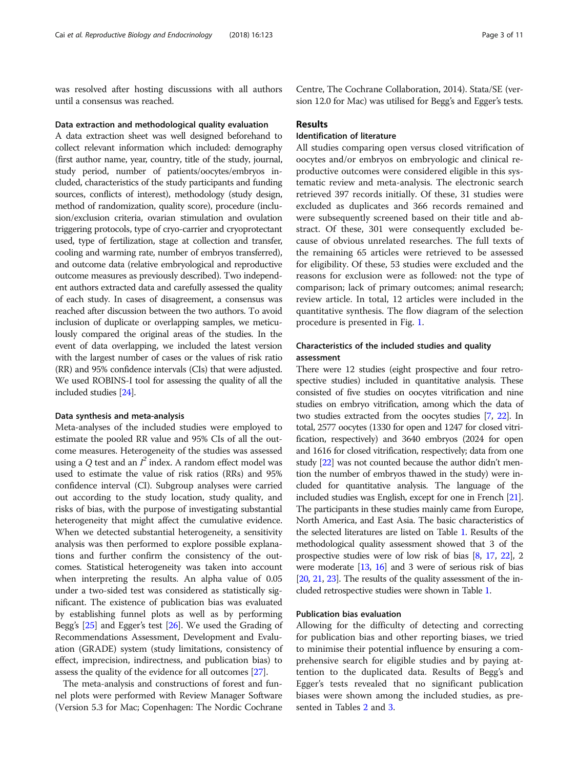was resolved after hosting discussions with all authors until a consensus was reached.

Data extraction and methodological quality evaluation

A data extraction sheet was well designed beforehand to collect relevant information which included: demography (first author name, year, country, title of the study, journal, study period, number of patients/oocytes/embryos included, characteristics of the study participants and funding sources, conflicts of interest), methodology (study design, method of randomization, quality score), procedure (inclusion/exclusion criteria, ovarian stimulation and ovulation triggering protocols, type of cryo-carrier and cryoprotectant used, type of fertilization, stage at collection and transfer, cooling and warming rate, number of embryos transferred), and outcome data (relative embryological and reproductive outcome measures as previously described). Two independent authors extracted data and carefully assessed the quality of each study. In cases of disagreement, a consensus was reached after discussion between the two authors. To avoid inclusion of duplicate or overlapping samples, we meticulously compared the original areas of the studies. In the event of data overlapping, we included the latest version with the largest number of cases or the values of risk ratio (RR) and 95% confidence intervals (CIs) that were adjusted. We used ROBINS-I tool for assessing the quality of all the included studies [\[24\]](#page-9-0).

#### Data synthesis and meta-analysis

Meta-analyses of the included studies were employed to estimate the pooled RR value and 95% CIs of all the outcome measures. Heterogeneity of the studies was assessed using a Q test and an  $I^2$  index. A random effect model was used to estimate the value of risk ratios (RRs) and 95% confidence interval (CI). Subgroup analyses were carried out according to the study location, study quality, and risks of bias, with the purpose of investigating substantial heterogeneity that might affect the cumulative evidence. When we detected substantial heterogeneity, a sensitivity analysis was then performed to explore possible explanations and further confirm the consistency of the outcomes. Statistical heterogeneity was taken into account when interpreting the results. An alpha value of 0.05 under a two-sided test was considered as statistically significant. The existence of publication bias was evaluated by establishing funnel plots as well as by performing Begg's [[25](#page-9-0)] and Egger's test [\[26\]](#page-9-0). We used the Grading of Recommendations Assessment, Development and Evaluation (GRADE) system (study limitations, consistency of effect, imprecision, indirectness, and publication bias) to assess the quality of the evidence for all outcomes [\[27\]](#page-9-0).

The meta-analysis and constructions of forest and funnel plots were performed with Review Manager Software (Version 5.3 for Mac; Copenhagen: The Nordic Cochrane

Centre, The Cochrane Collaboration, 2014). Stata/SE (version 12.0 for Mac) was utilised for Begg's and Egger's tests.

#### Results

#### Identification of literature

All studies comparing open versus closed vitrification of oocytes and/or embryos on embryologic and clinical reproductive outcomes were considered eligible in this systematic review and meta-analysis. The electronic search retrieved 397 records initially. Of these, 31 studies were excluded as duplicates and 366 records remained and were subsequently screened based on their title and abstract. Of these, 301 were consequently excluded because of obvious unrelated researches. The full texts of the remaining 65 articles were retrieved to be assessed for eligibility. Of these, 53 studies were excluded and the reasons for exclusion were as followed: not the type of comparison; lack of primary outcomes; animal research; review article. In total, 12 articles were included in the quantitative synthesis. The flow diagram of the selection procedure is presented in Fig. [1](#page-3-0).

#### Characteristics of the included studies and quality assessment

There were 12 studies (eight prospective and four retrospective studies) included in quantitative analysis. These consisted of five studies on oocytes vitrification and nine studies on embryo vitrification, among which the data of two studies extracted from the oocytes studies [\[7,](#page-9-0) [22](#page-9-0)]. In total, 2577 oocytes (1330 for open and 1247 for closed vitrification, respectively) and 3640 embryos (2024 for open and 1616 for closed vitrification, respectively; data from one study [[22\]](#page-9-0) was not counted because the author didn't mention the number of embryos thawed in the study) were included for quantitative analysis. The language of the included studies was English, except for one in French [\[21](#page-9-0)]. The participants in these studies mainly came from Europe, North America, and East Asia. The basic characteristics of the selected literatures are listed on Table [1.](#page-4-0) Results of the methodological quality assessment showed that 3 of the prospective studies were of low risk of bias [\[8,](#page-9-0) [17](#page-9-0), [22\]](#page-9-0), 2 were moderate [[13](#page-9-0), [16](#page-9-0)] and 3 were of serious risk of bias [[20](#page-9-0), [21](#page-9-0), [23\]](#page-9-0). The results of the quality assessment of the included retrospective studies were shown in Table [1.](#page-4-0)

#### Publication bias evaluation

Allowing for the difficulty of detecting and correcting for publication bias and other reporting biases, we tried to minimise their potential influence by ensuring a comprehensive search for eligible studies and by paying attention to the duplicated data. Results of Begg's and Egger's tests revealed that no significant publication biases were shown among the included studies, as presented in Tables [2](#page-5-0) and [3.](#page-6-0)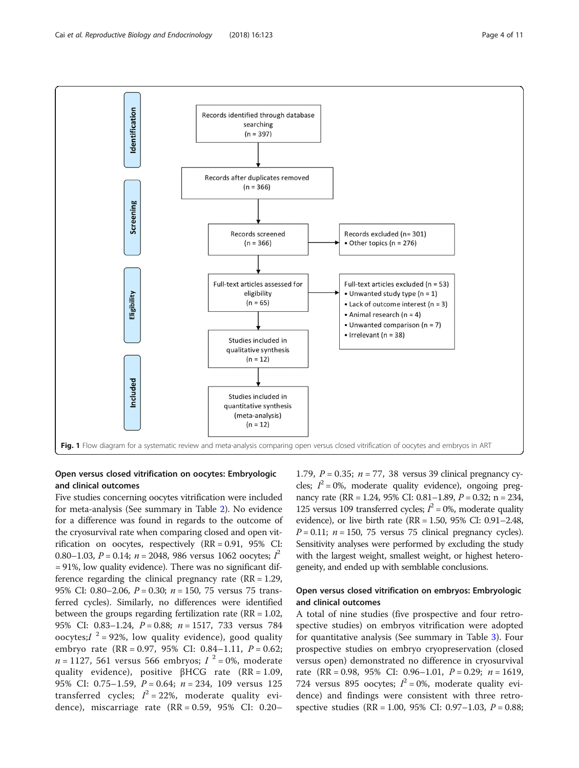<span id="page-3-0"></span>

#### Open versus closed vitrification on oocytes: Embryologic and clinical outcomes

Five studies concerning oocytes vitrification were included for meta-analysis (See summary in Table [2](#page-5-0)). No evidence for a difference was found in regards to the outcome of the cryosurvival rate when comparing closed and open vitrification on oocytes, respectively (RR = 0.91, 95% CI: 0.80–1.03,  $P = 0.14$ ;  $n = 2048$ , 986 versus 1062 oocytes;  $I^2$ = 91%, low quality evidence). There was no significant difference regarding the clinical pregnancy rate  $(RR = 1.29,$ 95% CI: 0.80–2.06,  $P = 0.30$ ;  $n = 150$ , 75 versus 75 transferred cycles). Similarly, no differences were identified between the groups regarding fertilization rate ( $RR = 1.02$ , 95% CI: 0.83-1.24, P = 0.88; n = 1517, 733 versus 784 oocytes; $I^2 = 92\%$ , low quality evidence), good quality embryo rate (RR = 0.97, 95% CI: 0.84-1.11,  $P = 0.62$ ;  $n = 1127$ , 561 versus 566 embryos;  $I^2 = 0\%$ , moderate quality evidence), positive βHCG rate (RR = 1.09, 95% CI: 0.75–1.59,  $P = 0.64$ ;  $n = 234$ , 109 versus 125 transferred cycles;  $I^2 = 22\%$ , moderate quality evidence), miscarriage rate (RR = 0.59, 95% CI: 0.20–

1.79,  $P = 0.35$ ;  $n = 77$ , 38 versus 39 clinical pregnancy cycles;  $I^2 = 0$ %, moderate quality evidence), ongoing pregnancy rate (RR = 1.24, 95% CI: 0.81–1.89,  $P = 0.32$ ; n = 234, 125 versus 109 transferred cycles;  $I^2 = 0$ %, moderate quality evidence), or live birth rate (RR = 1.50, 95% CI: 0.91–2.48,  $P = 0.11$ ;  $n = 150$ , 75 versus 75 clinical pregnancy cycles). Sensitivity analyses were performed by excluding the study with the largest weight, smallest weight, or highest heterogeneity, and ended up with semblable conclusions.

#### Open versus closed vitrification on embryos: Embryologic and clinical outcomes

A total of nine studies (five prospective and four retrospective studies) on embryos vitrification were adopted for quantitative analysis (See summary in Table [3\)](#page-6-0). Four prospective studies on embryo cryopreservation (closed versus open) demonstrated no difference in cryosurvival rate (RR = 0.98, 95% CI: 0.96–1.01,  $P = 0.29$ ;  $n = 1619$ , 724 versus 895 oocytes;  $I^2 = 0\%$ , moderate quality evidence) and findings were consistent with three retrospective studies (RR = 1.00, 95% CI: 0.97–1.03,  $P = 0.88$ ;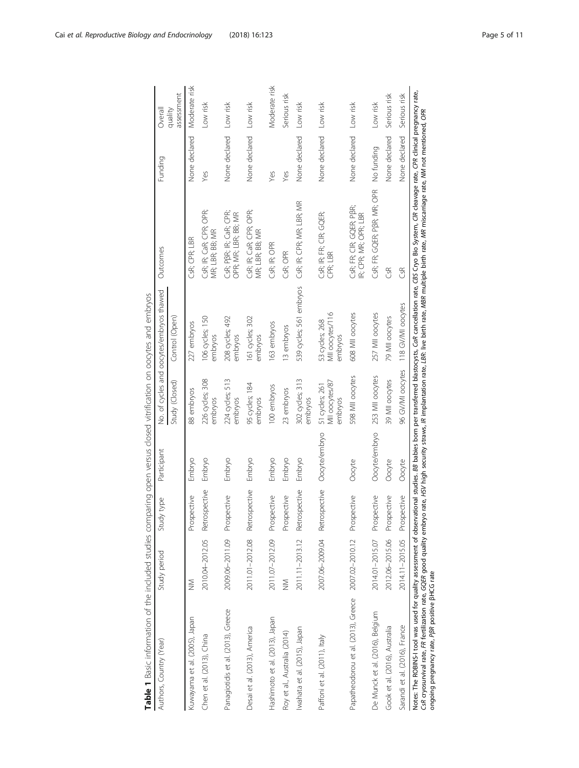<span id="page-4-0"></span>

| Authors, Country (Year)                                                                                                                                                                                                                                                                                                                                                                                                                                                                                 | Study period                                | Study type    | Participant   |                                             | No. of cycles and oocytes/embryos thawed     | Outcomes                                          | Funding                | Overall               |
|---------------------------------------------------------------------------------------------------------------------------------------------------------------------------------------------------------------------------------------------------------------------------------------------------------------------------------------------------------------------------------------------------------------------------------------------------------------------------------------------------------|---------------------------------------------|---------------|---------------|---------------------------------------------|----------------------------------------------|---------------------------------------------------|------------------------|-----------------------|
|                                                                                                                                                                                                                                                                                                                                                                                                                                                                                                         |                                             |               |               | Study (Closed)                              | Control (Open)                               |                                                   |                        | assessment<br>quality |
| Kuwayama et al. (2005), Japan                                                                                                                                                                                                                                                                                                                                                                                                                                                                           | $\geqq$                                     | Prospective   | Embryo        | 88 embryos                                  | 227 embryos                                  | CsR: CPR; LBR                                     | None declared          | Moderate risk         |
| Chen et al. (2013), China                                                                                                                                                                                                                                                                                                                                                                                                                                                                               | 2010.04-2012.05                             | Retrospective | Embryo        | 226 cycles; 308<br>embryos                  | 106 cycles; 150<br>embryos                   | CsR; IR; CaR; CPR; OPR;<br>MR; LBR; BB; MR        | Yes                    | Low risk              |
| Panagiotidis et al. (2013), Greece                                                                                                                                                                                                                                                                                                                                                                                                                                                                      | 2009.06-2011.09 Prospective                 |               | Embryo        | 224 cycles; 513<br>embryos                  | 208 cycles; 492<br>embryos                   | CsR; PBR; IR; CaR; CPR;<br>OPR; MR; LBR; BB; MR   | None declared Low risk |                       |
| Desai et al. (2013), America                                                                                                                                                                                                                                                                                                                                                                                                                                                                            | 2011.01-2012.08 Retrospective               |               | Embryo        | 95 cycles; 184<br>embryos                   | 161 cycles; 302<br>embryos                   | CsR; IR; CaR; CPR; OPR;<br>MR; LBR; BB; MR        | None declared Low risk |                       |
| Hashimoto et al. (2013), Japan                                                                                                                                                                                                                                                                                                                                                                                                                                                                          | 2011.07-2012.09                             | Prospective   | Embryo        | 100 embryos                                 | 163 embryos                                  | CsR; IR; OPR                                      | Yes                    | Moderate risk         |
| Roy et al., Australia (2014)                                                                                                                                                                                                                                                                                                                                                                                                                                                                            | $\geqq$                                     | Prospective   | Embryo        | 23 embryos                                  | 13 embryos                                   | CsR; OPR                                          | Yes                    | Serious risk          |
| Iwahata et al. (2015), Japan                                                                                                                                                                                                                                                                                                                                                                                                                                                                            | 2011.11-2013.12 Retrospective               |               | Embryo        | 302 cycles; 313<br>embryos                  | 539 cycles; 561 embryos                      | CsR; IR; CPR; MR; LBR; MR                         | None declared Low risk |                       |
| Paffoni et al. (2011), Italy                                                                                                                                                                                                                                                                                                                                                                                                                                                                            | 2007.06-2009.04 Retrospective Oocyte/embryo |               |               | MII oocytes/87<br>51 cycles; 261<br>embryos | MII oocytes/116<br>53 cycles; 268<br>embryos | CsR; IR; FR; CIR; GQER;<br>CPR; LBR               | None declared Low risk |                       |
| Papatheodorou et al. (2013), Greece 2007.02-2010.12 Prospective                                                                                                                                                                                                                                                                                                                                                                                                                                         |                                             |               | Oocyte        | 598 MII oocytes                             | 608 MII oocytes                              | CsR; FR; CIR; GQER; PBR;<br>IR; CPR; MR; OPR; LBR | None declared Low risk |                       |
| De Munck et al. (2016), Belgium                                                                                                                                                                                                                                                                                                                                                                                                                                                                         | 2014.01-2015.07 Prospective                 |               | Oocyte/embryo | 253 MII oocytes                             | 257 MII oocytes                              | CSR; FR; GQER; PBR; MR; OPR                       | No funding             | Low risk              |
| Gook et al. (2016), Australia                                                                                                                                                                                                                                                                                                                                                                                                                                                                           | 2012.06-2015.06                             | Prospective   | Oocyte        | 39 MII oocytes                              | 79 MII oocytes                               | GR                                                | None declared          | Serious risk          |
| Sarandi et al. (2016), France                                                                                                                                                                                                                                                                                                                                                                                                                                                                           | 2014.11-2015.05                             | Prospective   | Oocyte        | 96 GV/MI oocytes                            | 118 GV/MI oocytes                            | E                                                 | None declared          | Serious risk          |
| Notes: The ROBINS-I tool was used for quality assessment of observational studies. BB babies born per transferred blastocysts, CaR cancellation rate, CBS Cryo Bio System, CIR cleavage rate, CPR clinical pregnancy rate,<br>CsR cryosurvival rate, FR fertilization rate, GQER good quality embryo rate, HSV high security straws, IR implantation rate, IBR. live birth rate, MBR multiple birth rate, MBR miscarriage rate, MM not mentioned, OPR<br>ongoing pregnancy rate, PBR positive BHCG rate |                                             |               |               |                                             |                                              |                                                   |                        |                       |

Table 1 Basic information of the included studies comparing open versus closed vitrification on oocytes and embryos Table 1 Basic information of the included studies comparing open versus closed vitrification on oocytes and embryos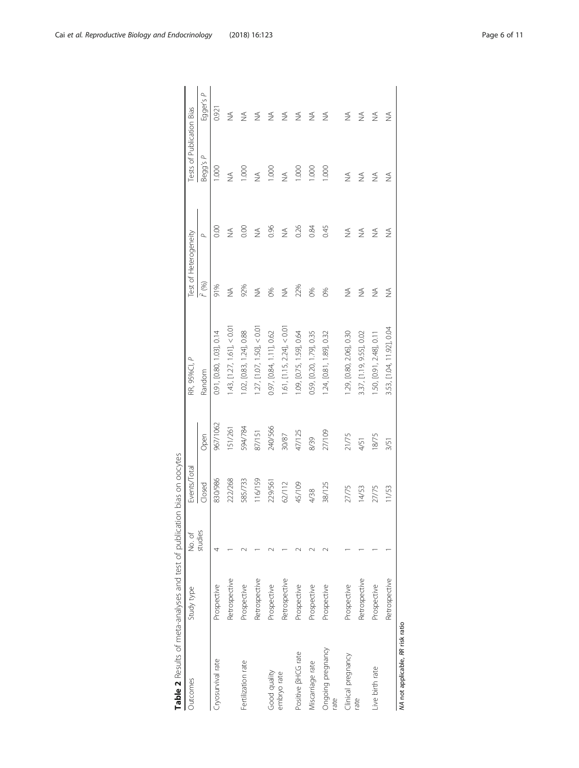<span id="page-5-0"></span>

| Table 2 Results of meta-analyses and test of publication bias on oocytes |               |         |              |          |                                  |                       |                |                           |                     |
|--------------------------------------------------------------------------|---------------|---------|--------------|----------|----------------------------------|-----------------------|----------------|---------------------------|---------------------|
| Outcomes                                                                 | Study type    | No. of  | Events/Total |          | RR, 95%CI, P                     | Test of Heterogeneity |                | Tests of Publication Bias |                     |
|                                                                          |               | studies | Closed       | Open     | Random                           | $l^2$ (%)             | $\overline{a}$ | Begg's P                  | Egger's P           |
| Cryosurvival rate                                                        | Prospective   |         | 830/986      | 367/1062 | 0.91, [0.80, 1.03], 0.14         | 91%                   | 0.00           | 1.000                     | $0.92$ <sup>-</sup> |
|                                                                          | Retrospective |         | 222/268      | 151/261  | $1.43$ , $[1.27, 1.61]$ , < 0.01 | $\frac{1}{2}$         | $\frac{1}{2}$  | $\frac{1}{2}$             | ≸                   |
| Fertilization rate                                                       | Prospective   |         | 585/733      | 594/784  | 1.02, [0.83, 1.24], 0.88         | 92%                   | 0.00           | 1.000                     | ≸                   |
|                                                                          | Retrospective |         | 116/159      | 87/151   | 1.27, [1.07, 1.50], < 0.01       | $\frac{1}{2}$         | $\frac{1}{2}$  | $\leq$                    | $\lessgtr$          |
| Good quality                                                             | Prospective   |         | 229/561      | 240/566  | 0.97, [0.84, 1.11], 0.62         | 0%                    | 0.96           | 1.000                     | $\lessgtr$          |
| embryo rate                                                              | Retrospective |         | 62/112       | 30/87    | .61, [1.15, 2.24], < 0.01        | $\frac{1}{2}$         | $\frac{1}{2}$  | $\leq$                    | $\lessgtr$          |
| Positive BHCG rate                                                       | Prospective   |         | 45/109       | 47/125   | 1.09, [0.75, 1.59], 0.64         | 22%                   | 0.26           | 1.000                     | ₹                   |
| Miscarriage rate                                                         | Prospective   |         | 4/38         | 8/39     | 0.59, [0.20, 1.79], 0.35         | 0%                    | 0.84           | 1.000                     | $\lessgtr$          |
| Ongoing pregnancy<br>rate                                                | Prospective   |         | 38/125       | 27/109   | 1.24, [0.81, 1.89], 0.32         | 6%                    | 0.45           | 1.000                     | ₹                   |
| Clinical pregnancy                                                       | Prospective   |         | 27/75        | 21/75    | 1.29, [0.80, 2.06], 0.30         | $\lessapprox$         | $\frac{1}{2}$  | $\frac{1}{2}$             | ≸                   |
| rate                                                                     | Retrospective |         | 14/53        | 4/51     | 3.37, [1.19, 9.55], 0.02         | $\frac{4}{2}$         | $\frac{1}{2}$  | ≸                         | ₹                   |
| Live birth rate                                                          | Prospective   |         | 27/75        | 18/75    | 50, [0.91, 2.48], 0.11           | $\frac{1}{2}$         | $\frac{1}{2}$  | ₹                         | ₹                   |
|                                                                          | Retrospective |         | 11/53        | 3/51     | 3.53, [1.04, 11.92], 0.04        | $\frac{4}{2}$         | ≸              | ₹                         | ≸                   |
| MA not applicable, RR risk ratio                                         |               |         |              |          |                                  |                       |                |                           |                     |

| ١                                                  |
|----------------------------------------------------|
| こうくう                                               |
|                                                    |
| 5                                                  |
| אר הוא הואר היה<br>١<br>ļ<br>$\sim$ $+$ $\sim$ $+$ |
| ;                                                  |
| $\frac{1}{2}$                                      |
| 5                                                  |
| j                                                  |
| I<br>ş<br>١                                        |
| ï                                                  |
| $\overline{\phantom{a}}$<br>ĵ                      |
| í                                                  |
| I                                                  |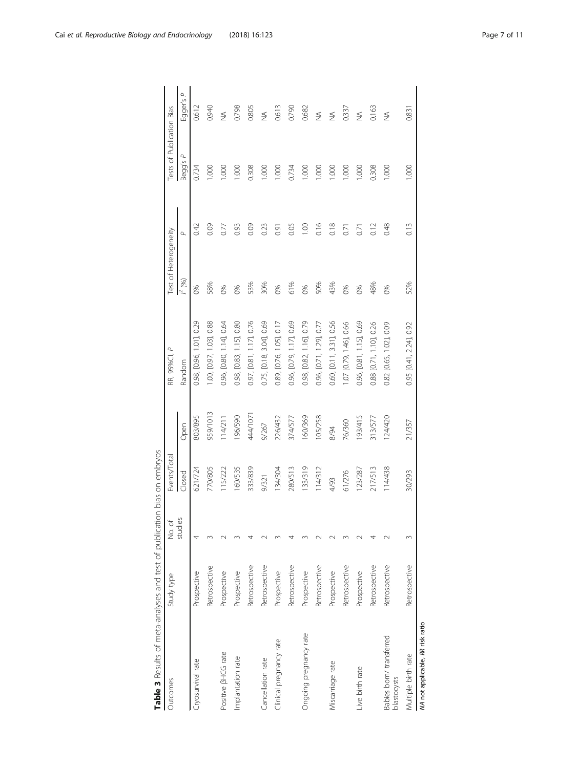<span id="page-6-0"></span>

| Outcomes                               | Study type    | No. of  | Events/Total |          | RR, 95%CI, P             | Test of Heterogeneity |          | Tests of Publication Bias |                    |
|----------------------------------------|---------------|---------|--------------|----------|--------------------------|-----------------------|----------|---------------------------|--------------------|
|                                        |               | studies | Closed       | Open     | Random                   | $l^2$ (%)             | $\sigma$ | Begg's P                  | Egger's P          |
| Cryosurvival rate                      | Prospective   | 4       | 621/724      | 803/895  | 0.98, [0.96, 1.01], 0.29 | 0%                    | 0.42     | 0.734                     | 0.612              |
|                                        | Retrospective |         | 770/805      | 959/1013 | 1.00, [0.97, 1.03], 0.88 | 58%                   | 0.09     | 000.1                     | 0.940              |
| Positive BHCG rate                     | Prospective   |         | 115/222      | 114/211  | 0.96, [0.80, 1.14], 0.64 | 0%                    | 0.77     | 0001                      | $\leq$             |
| Implantation rate                      | Prospective   |         | 160/535      | 196/590  | 0.98, [0.83, 1.15], 0.80 | 0%                    | 0.93     | 000.1                     | 0.798              |
|                                        | Retrospective |         | 333/839      | 444/107  | 0.97, [0.81, 1.17], 0.76 | 53%                   | 0.09     | 0.308                     | 0.805              |
| Cancellation rate                      | Retrospective |         | 9/321        | 9/267    | 0.75, [0.18, 3.04], 0.69 | 30%                   | 0.23     | 0001                      | $\leq$             |
| Clinical pregnancy rate                | Prospective   |         | 134/304      | 226/432  | 0.89, [0.76, 1.05], 0.17 | 0%                    | 0.91     | 1.000                     | 0.613              |
|                                        | Retrospective |         | 280/513      | 374/577  | 0.96, [0.79, 1.17], 0.69 | 61%                   | 0.05     | 0.734                     | 0.790              |
| Ongoing pregnancy rate                 | Prospective   |         | 133/319      | 160/369  | 0.98, [0.82, 1.16], 0.79 | 0%                    | 0.00     | 1.000                     | 0.682              |
|                                        | Retrospective |         | 114/312      | 105/258  | 0.96, [0.71, 1.29], 0.77 | 50%                   | 0.16     | 1.000                     | $\lessgtr$         |
| Miscarriage rate                       | Prospective   |         | 4/93         | 8/94     | 0.60, [0.11, 3.31], 0.56 | 43%                   | 0.18     | 000.1                     | $\leq$             |
|                                        | Retrospective |         | 61/276       | 76/360   | 1.07 [0.79, 1.46], 0.66  | 0%                    | 0.71     | 1.000                     | 0.337              |
| Live birth rate                        | Prospective   |         | 123/287      | 193/415  | 0.96, [0.81, 1.15], 0.69 | 0%                    | 0.71     | 1.000                     | $\lessgtr$         |
|                                        | Retrospective |         | 217/513      | 313/577  | 0.88 [0.71, 1.10], 0.26  | 48%                   | 0.12     | 0.308                     | 0.163              |
| Babies born/transferred<br>blastocysts | Retrospective |         | 114/438      | 124/420  | 0.82 [0.65, 1.02], 0.09  | 0%                    | 0.48     | 1.000                     | $\widetilde{\geq}$ |
| Multiple birth rate                    | Retrospective | m       | 30/293       | 21/357   | 0.95 [0.41, 2.24], 0.92  | 52%                   | 0.13     | 1.000                     | 0.831              |
| MA not applicable, RR risk ratio       |               |         |              |          |                          |                       |          |                           |                    |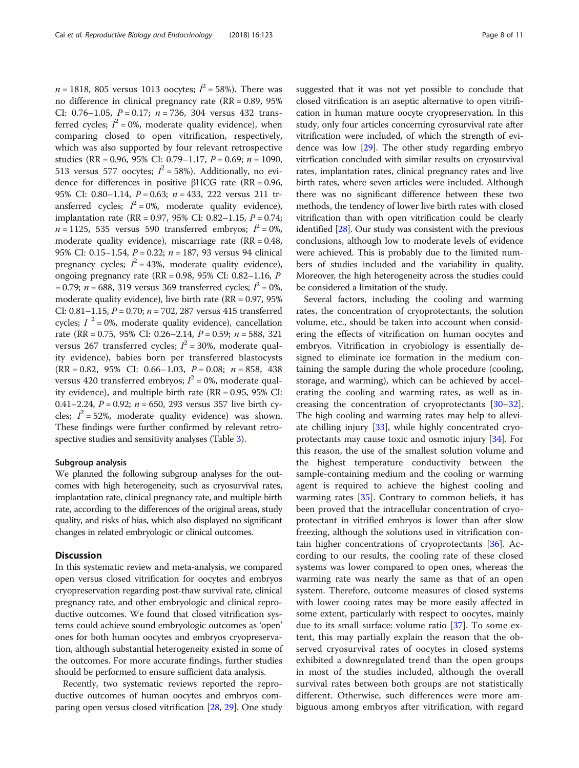$n = 1818$ , 805 versus 1013 oocytes;  $I^2 = 58\%$ ). There was no difference in clinical pregnancy rate (RR = 0.89, 95% CI: 0.76–1.05,  $P = 0.17$ ;  $n = 736$ , 304 versus 432 transferred cycles;  $I^2 = 0$ %, moderate quality evidence), when comparing closed to open vitrification, respectively, which was also supported by four relevant retrospective studies (RR = 0.96, 95% CI: 0.79–1.17,  $P = 0.69$ ;  $n = 1090$ , 513 versus 577 oocytes;  $I^2 = 58\%$ ). Additionally, no evidence for differences in positive βHCG rate (RR = 0.96, 95% CI: 0.80–1.14,  $P = 0.63$ ;  $n = 433$ , 222 versus 211 transferred cycles;  $I^2 = 0\%$ , moderate quality evidence), implantation rate (RR = 0.97, 95% CI: 0.82–1.15,  $P = 0.74$ ;  $n = 1125$ , 535 versus 590 transferred embryos;  $I^2 = 0\%$ , moderate quality evidence), miscarriage rate (RR = 0.48, 95% CI: 0.15–1.54,  $P = 0.22$ ;  $n = 187$ , 93 versus 94 clinical pregnancy cycles;  $I^2 = 43\%$ , moderate quality evidence), ongoing pregnancy rate ( $RR = 0.98$ ,  $95\%$  CI: 0.82–1.16, P  $= 0.79$ ;  $n = 688$ , 319 versus 369 transferred cycles;  $I^2 = 0\%$ , moderate quality evidence), live birth rate (RR = 0.97, 95% CI:  $0.81 - 1.15$ ,  $P = 0.70$ ;  $n = 702$ , 287 versus 415 transferred cycles;  $I^2 = 0\%$ , moderate quality evidence), cancellation rate (RR = 0.75, 95% CI: 0.26–2.14,  $P = 0.59$ ;  $n = 588$ , 321 versus 267 transferred cycles;  $I^2 = 30\%$ , moderate quality evidence), babies born per transferred blastocysts

 $(RR = 0.82, 95\% \text{ CI: } 0.66-1.03, P = 0.08; n = 858, 438$ versus 420 transferred embryos;  $I^2$  = 0%, moderate quality evidence), and multiple birth rate (RR = 0.95, 95% CI: 0.41–2.24,  $P = 0.92$ ;  $n = 650$ , 293 versus 357 live birth cycles;  $I^2 = 52\%$ , moderate quality evidence) was shown. These findings were further confirmed by relevant retrospective studies and sensitivity analyses (Table [3](#page-6-0)).

#### Subgroup analysis

We planned the following subgroup analyses for the outcomes with high heterogeneity, such as cryosurvival rates, implantation rate, clinical pregnancy rate, and multiple birth rate, according to the differences of the original areas, study quality, and risks of bias, which also displayed no significant changes in related embryologic or clinical outcomes.

#### **Discussion**

In this systematic review and meta-analysis, we compared open versus closed vitrification for oocytes and embryos cryopreservation regarding post-thaw survival rate, clinical pregnancy rate, and other embryologic and clinical reproductive outcomes. We found that closed vitrification systems could achieve sound embryologic outcomes as 'open' ones for both human oocytes and embryos cryopreservation, although substantial heterogeneity existed in some of the outcomes. For more accurate findings, further studies should be performed to ensure sufficient data analysis.

Recently, two systematic reviews reported the reproductive outcomes of human oocytes and embryos comparing open versus closed vitrification [\[28,](#page-9-0) [29](#page-9-0)]. One study suggested that it was not yet possible to conclude that closed vitrification is an aseptic alternative to open vitrification in human mature oocyte cryopreservation. In this study, only four articles concerning cyrosurvival rate after vitrification were included, of which the strength of evidence was low [\[29\]](#page-9-0). The other study regarding embryo vitrfication concluded with similar results on cryosurvival rates, implantation rates, clinical pregnancy rates and live birth rates, where seven articles were included. Although there was no significant difference between these two methods, the tendency of lower live birth rates with closed vitrification than with open vitrification could be clearly identified [[28\]](#page-9-0). Our study was consistent with the previous conclusions, although low to moderate levels of evidence were achieved. This is probably due to the limited numbers of studies included and the variability in quality. Moreover, the high heterogeneity across the studies could be considered a limitation of the study.

Several factors, including the cooling and warming rates, the concentration of cryoprotectants, the solution volume, etc., should be taken into account when considering the effects of vitrification on human oocytes and embryos. Vitrification in cryobiology is essentially designed to eliminate ice formation in the medium containing the sample during the whole procedure (cooling, storage, and warming), which can be achieved by accelerating the cooling and warming rates, as well as increasing the concentration of cryoprotectants [[30](#page-9-0)–[32](#page-9-0)]. The high cooling and warming rates may help to alleviate chilling injury [\[33\]](#page-9-0), while highly concentrated cryoprotectants may cause toxic and osmotic injury [\[34](#page-10-0)]. For this reason, the use of the smallest solution volume and the highest temperature conductivity between the sample-containing medium and the cooling or warming agent is required to achieve the highest cooling and warming rates [[35\]](#page-10-0). Contrary to common beliefs, it has been proved that the intracellular concentration of cryoprotectant in vitrified embryos is lower than after slow freezing, although the solutions used in vitrification contain higher concentrations of cryoprotectants [\[36](#page-10-0)]. According to our results, the cooling rate of these closed systems was lower compared to open ones, whereas the warming rate was nearly the same as that of an open system. Therefore, outcome measures of closed systems with lower cooing rates may be more easily affected in some extent, particularly with respect to oocytes, mainly due to its small surface: volume ratio [\[37](#page-10-0)]. To some extent, this may partially explain the reason that the observed cryosurvival rates of oocytes in closed systems exhibited a downregulated trend than the open groups in most of the studies included, although the overall survival rates between both groups are not statistically different. Otherwise, such differences were more ambiguous among embryos after vitrification, with regard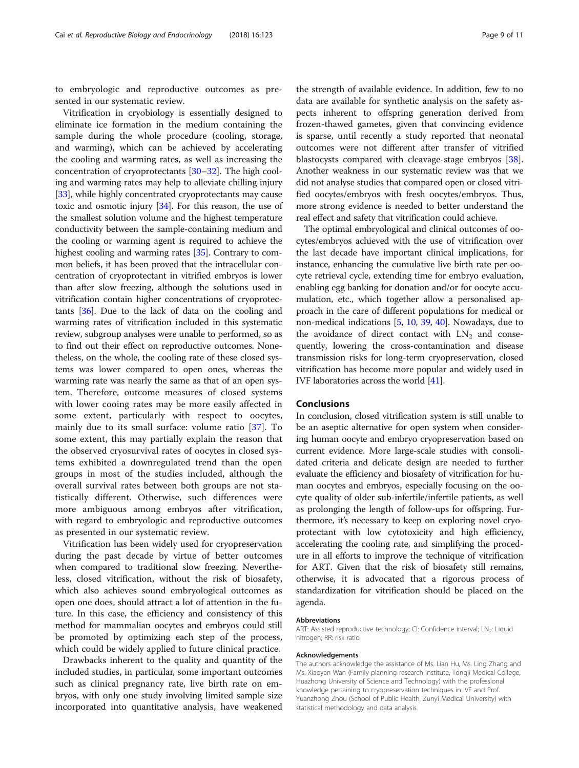to embryologic and reproductive outcomes as presented in our systematic review.

Vitrification in cryobiology is essentially designed to eliminate ice formation in the medium containing the sample during the whole procedure (cooling, storage, and warming), which can be achieved by accelerating the cooling and warming rates, as well as increasing the concentration of cryoprotectants [\[30](#page-9-0)–[32\]](#page-9-0). The high cooling and warming rates may help to alleviate chilling injury [[33](#page-9-0)], while highly concentrated cryoprotectants may cause toxic and osmotic injury [[34](#page-10-0)]. For this reason, the use of the smallest solution volume and the highest temperature conductivity between the sample-containing medium and the cooling or warming agent is required to achieve the highest cooling and warming rates [[35](#page-10-0)]. Contrary to common beliefs, it has been proved that the intracellular concentration of cryoprotectant in vitrified embryos is lower than after slow freezing, although the solutions used in vitrification contain higher concentrations of cryoprotectants [\[36\]](#page-10-0). Due to the lack of data on the cooling and warming rates of vitrification included in this systematic review, subgroup analyses were unable to performed, so as to find out their effect on reproductive outcomes. Nonetheless, on the whole, the cooling rate of these closed systems was lower compared to open ones, whereas the warming rate was nearly the same as that of an open system. Therefore, outcome measures of closed systems with lower cooing rates may be more easily affected in some extent, particularly with respect to oocytes, mainly due to its small surface: volume ratio [[37](#page-10-0)]. To some extent, this may partially explain the reason that the observed cryosurvival rates of oocytes in closed systems exhibited a downregulated trend than the open groups in most of the studies included, although the overall survival rates between both groups are not statistically different. Otherwise, such differences were more ambiguous among embryos after vitrification, with regard to embryologic and reproductive outcomes as presented in our systematic review.

Vitrification has been widely used for cryopreservation during the past decade by virtue of better outcomes when compared to traditional slow freezing. Nevertheless, closed vitrification, without the risk of biosafety, which also achieves sound embryological outcomes as open one does, should attract a lot of attention in the future. In this case, the efficiency and consistency of this method for mammalian oocytes and embryos could still be promoted by optimizing each step of the process, which could be widely applied to future clinical practice.

Drawbacks inherent to the quality and quantity of the included studies, in particular, some important outcomes such as clinical pregnancy rate, live birth rate on embryos, with only one study involving limited sample size incorporated into quantitative analysis, have weakened

the strength of available evidence. In addition, few to no data are available for synthetic analysis on the safety aspects inherent to offspring generation derived from frozen-thawed gametes, given that convincing evidence is sparse, until recently a study reported that neonatal outcomes were not different after transfer of vitrified blastocysts compared with cleavage-stage embryos [\[38](#page-10-0)]. Another weakness in our systematic review was that we did not analyse studies that compared open or closed vitrified oocytes/embryos with fresh oocytes/embryos. Thus, more strong evidence is needed to better understand the real effect and safety that vitrification could achieve.

The optimal embryological and clinical outcomes of oocytes/embryos achieved with the use of vitrification over the last decade have important clinical implications, for instance, enhancing the cumulative live birth rate per oocyte retrieval cycle, extending time for embryo evaluation, enabling egg banking for donation and/or for oocyte accumulation, etc., which together allow a personalised approach in the care of different populations for medical or non-medical indications [\[5,](#page-9-0) [10,](#page-9-0) [39,](#page-10-0) [40\]](#page-10-0). Nowadays, due to the avoidance of direct contact with  $LN_2$  and consequently, lowering the cross-contamination and disease transmission risks for long-term cryopreservation, closed vitrification has become more popular and widely used in IVF laboratories across the world [\[41\]](#page-10-0).

#### Conclusions

In conclusion, closed vitrification system is still unable to be an aseptic alternative for open system when considering human oocyte and embryo cryopreservation based on current evidence. More large-scale studies with consolidated criteria and delicate design are needed to further evaluate the efficiency and biosafety of vitrification for human oocytes and embryos, especially focusing on the oocyte quality of older sub-infertile/infertile patients, as well as prolonging the length of follow-ups for offspring. Furthermore, it's necessary to keep on exploring novel cryoprotectant with low cytotoxicity and high efficiency, accelerating the cooling rate, and simplifying the procedure in all efforts to improve the technique of vitrification for ART. Given that the risk of biosafety still remains, otherwise, it is advocated that a rigorous process of standardization for vitrification should be placed on the agenda.

#### Abbreviations

ART: Assisted reproductive technology; CI: Confidence interval; LN<sub>2</sub>: Liquid nitrogen; RR: risk ratio

#### Acknowledgements

The authors acknowledge the assistance of Ms. Lian Hu, Ms. Ling Zhang and Ms. Xiaoyan Wan (Family planning research institute, Tongji Medical College, Huazhong University of Science and Technology) with the professional knowledge pertaining to cryopreservation techniques in IVF and Prof. Yuanzhong Zhou (School of Public Health, Zunyi Medical University) with statistical methodology and data analysis.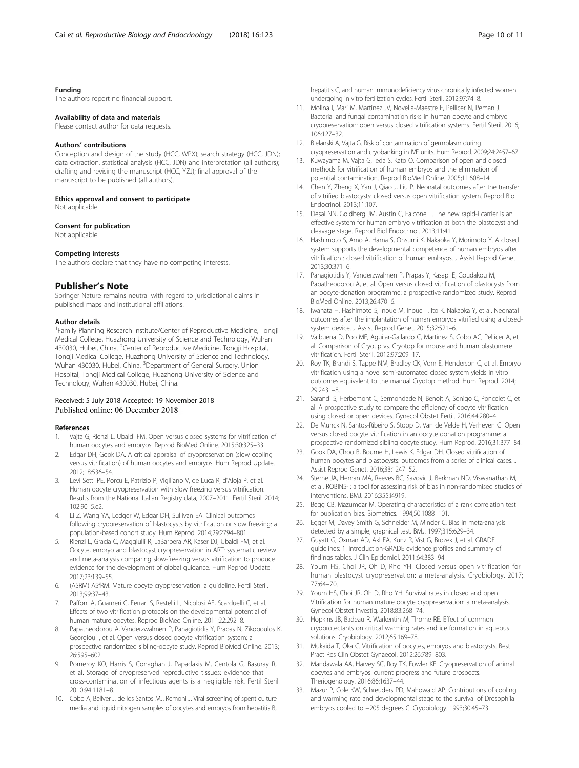#### <span id="page-9-0"></span>Funding

The authors report no financial support.

#### Availability of data and materials

Please contact author for data requests.

#### Authors' contributions

Conception and design of the study (HCC, WPX); search strategy (HCC, JDN); data extraction, statistical analysis (HCC, JDN) and interpretation (all authors); drafting and revising the manuscript (HCC, YZJ); final approval of the manuscript to be published (all authors).

#### Ethics approval and consent to participate

Not applicable.

#### Consent for publication

Not applicable.

#### Competing interests

The authors declare that they have no competing interests.

#### Publisher's Note

Springer Nature remains neutral with regard to jurisdictional claims in published maps and institutional affiliations.

#### Author details

<sup>1</sup> Family Planning Research Institute/Center of Reproductive Medicine, Tongji Medical College, Huazhong University of Science and Technology, Wuhan 430030, Hubei, China. <sup>2</sup>Center of Reproductive Medicine, Tongji Hospital, Tongji Medical College, Huazhong University of Science and Technology, Wuhan 430030, Hubei, China. <sup>3</sup>Department of General Surgery, Union Hospital, Tongji Medical College, Huazhong University of Science and Technology, Wuhan 430030, Hubei, China.

## Received: 5 July 2018 Accepted: 19 November 2018<br>Published online: 06 December 2018

#### References

- 1. Vajta G, Rienzi L, Ubaldi FM. Open versus closed systems for vitrification of human oocytes and embryos. Reprod BioMed Online. 2015;30:325–33.
- 2. Edgar DH, Gook DA. A critical appraisal of cryopreservation (slow cooling versus vitrification) of human oocytes and embryos. Hum Reprod Update. 2012;18:536–54.
- 3. Levi Setti PE, Porcu E, Patrizio P, Vigiliano V, de Luca R, d'Aloja P, et al. Human oocyte cryopreservation with slow freezing versus vitrification. Results from the National Italian Registry data, 2007–2011. Fertil Steril. 2014; 102:90–5.e2.
- 4. Li Z, Wang YA, Ledger W, Edgar DH, Sullivan EA. Clinical outcomes following cryopreservation of blastocysts by vitrification or slow freezing: a population-based cohort study. Hum Reprod. 2014;29:2794–801.
- Rienzi L, Gracia C, Maggiulli R, LaBarbera AR, Kaser DJ, Ubaldi FM, et al. Oocyte, embryo and blastocyst cryopreservation in ART: systematic review and meta-analysis comparing slow-freezing versus vitrification to produce evidence for the development of global guidance. Hum Reprod Update. 2017;23:139–55.
- 6. (ASRM) ASfRM. Mature oocyte cryopreservation: a guideline. Fertil Steril. 2013;99:37–43.
- 7. Paffoni A, Guarneri C, Ferrari S, Restelli L, Nicolosi AE, Scarduelli C, et al. Effects of two vitrification protocols on the developmental potential of human mature oocytes. Reprod BioMed Online. 2011;22:292–8.
- Papatheodorou A, Vanderzwalmen P, Panagiotidis Y, Prapas N, Zikopoulos K, Georgiou I, et al. Open versus closed oocyte vitrification system: a prospective randomized sibling-oocyte study. Reprod BioMed Online. 2013; 26:595–602.
- 9. Pomeroy KO, Harris S, Conaghan J, Papadakis M, Centola G, Basuray R, et al. Storage of cryopreserved reproductive tissues: evidence that cross-contamination of infectious agents is a negligible risk. Fertil Steril. 2010;94:1181–8.
- 10. Cobo A, Bellver J, de los Santos MJ, Remohi J. Viral screening of spent culture media and liquid nitrogen samples of oocytes and embryos from hepatitis B,

hepatitis C, and human immunodeficiency virus chronically infected women undergoing in vitro fertilization cycles. Fertil Steril. 2012;97:74–8.

- 11. Molina I, Mari M, Martinez JV, Novella-Maestre E, Pellicer N, Peman J. Bacterial and fungal contamination risks in human oocyte and embryo cryopreservation: open versus closed vitrification systems. Fertil Steril. 2016; 106:127–32.
- 12. Bielanski A, Vajta G. Risk of contamination of germplasm during cryopreservation and cryobanking in IVF units. Hum Reprod. 2009;24:2457–67.
- 13. Kuwayama M, Vajta G, Ieda S, Kato O. Comparison of open and closed methods for vitrification of human embryos and the elimination of potential contamination. Reprod BioMed Online. 2005;11:608–14.
- 14. Chen Y, Zheng X, Yan J, Qiao J, Liu P. Neonatal outcomes after the transfer of vitrified blastocysts: closed versus open vitrification system. Reprod Biol Endocrinol. 2013;11:107.
- 15. Desai NN, Goldberg JM, Austin C, Falcone T. The new rapid-i carrier is an effective system for human embryo vitrification at both the blastocyst and cleavage stage. Reprod Biol Endocrinol. 2013;11:41.
- 16. Hashimoto S, Amo A, Hama S, Ohsumi K, Nakaoka Y, Morimoto Y. A closed system supports the developmental competence of human embryos after vitrification : closed vitrification of human embryos. J Assist Reprod Genet. 2013;30:371–6.
- 17. Panagiotidis Y, Vanderzwalmen P, Prapas Y, Kasapi E, Goudakou M, Papatheodorou A, et al. Open versus closed vitrification of blastocysts from an oocyte-donation programme: a prospective randomized study. Reprod BioMed Online. 2013;26:470–6.
- 18. Iwahata H, Hashimoto S, Inoue M, Inoue T, Ito K, Nakaoka Y, et al. Neonatal outcomes after the implantation of human embryos vitrified using a closedsystem device. J Assist Reprod Genet. 2015;32:521–6.
- 19. Valbuena D, Poo ME, Aguilar-Gallardo C, Martinez S, Cobo AC, Pellicer A, et al. Comparison of Cryotip vs. Cryotop for mouse and human blastomere vitrification. Fertil Steril. 2012;97:209–17.
- 20. Roy TK, Brandi S, Tappe NM, Bradley CK, Vom E, Henderson C, et al. Embryo vitrification using a novel semi-automated closed system yields in vitro outcomes equivalent to the manual Cryotop method. Hum Reprod. 2014; 29:2431–8.
- 21. Sarandi S, Herbemont C, Sermondade N, Benoit A, Sonigo C, Poncelet C, et al. A prospective study to compare the efficiency of oocyte vitrification using closed or open devices. Gynecol Obstet Fertil. 2016;44:280–4.
- 22. De Munck N, Santos-Ribeiro S, Stoop D, Van de Velde H, Verheyen G. Open versus closed oocyte vitrification in an oocyte donation programme: a prospective randomized sibling oocyte study. Hum Reprod. 2016;31:377–84.
- 23. Gook DA, Choo B, Bourne H, Lewis K, Edgar DH. Closed vitrification of human oocytes and blastocysts: outcomes from a series of clinical cases. J Assist Reprod Genet. 2016;33:1247–52.
- 24. Sterne JA, Hernan MA, Reeves BC, Savovic J, Berkman ND, Viswanathan M, et al. ROBINS-I: a tool for assessing risk of bias in non-randomised studies of interventions. BMJ. 2016;355:i4919.
- 25. Begg CB, Mazumdar M. Operating characteristics of a rank correlation test for publication bias. Biometrics. 1994;50:1088–101.
- 26. Egger M, Davey Smith G, Schneider M, Minder C. Bias in meta-analysis detected by a simple, graphical test. BMJ. 1997;315:629–34.
- 27. Guyatt G, Oxman AD, Akl EA, Kunz R, Vist G, Brozek J, et al. GRADE guidelines: 1. Introduction-GRADE evidence profiles and summary of findings tables. J Clin Epidemiol. 2011;64:383–94.
- 28. Youm HS, Choi JR, Oh D, Rho YH. Closed versus open vitrification for human blastocyst cryopreservation: a meta-analysis. Cryobiology. 2017; 77:64–70.
- 29. Youm HS, Choi JR, Oh D, Rho YH. Survival rates in closed and open Vitrification for human mature oocyte cryopreservation: a meta-analysis. Gynecol Obstet Investig. 2018;83:268–74.
- 30. Hopkins JB, Badeau R, Warkentin M, Thorne RE. Effect of common cryoprotectants on critical warming rates and ice formation in aqueous solutions. Cryobiology. 2012;65:169–78.
- 31. Mukaida T, Oka C. Vitrification of oocytes, embryos and blastocysts. Best Pract Res Clin Obstet Gynaecol. 2012;26:789–803.
- 32. Mandawala AA, Harvey SC, Roy TK, Fowler KE. Cryopreservation of animal oocytes and embryos: current progress and future prospects. Theriogenology. 2016;86:1637–44.
- 33. Mazur P, Cole KW, Schreuders PD, Mahowald AP. Contributions of cooling and warming rate and developmental stage to the survival of Drosophila embryos cooled to −205 degrees C. Cryobiology. 1993;30:45–73.